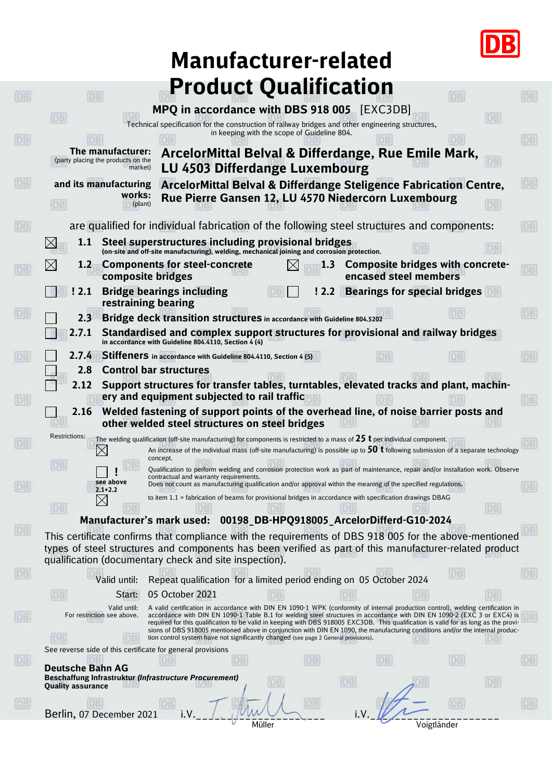

| <b>Manufacturer-related</b>                                                                                                                                                                                                                                                                                                                                                                                                                                                                                                                                                         |    |
|-------------------------------------------------------------------------------------------------------------------------------------------------------------------------------------------------------------------------------------------------------------------------------------------------------------------------------------------------------------------------------------------------------------------------------------------------------------------------------------------------------------------------------------------------------------------------------------|----|
| <b>Product Qualification</b>                                                                                                                                                                                                                                                                                                                                                                                                                                                                                                                                                        |    |
| <b>DB</b><br>DB<br>MPQ in accordance with DBS 918 005 [EXC3DB]                                                                                                                                                                                                                                                                                                                                                                                                                                                                                                                      |    |
| Technical specification for the construction of railway bridges and other engineering structures,<br>in keeping with the scope of Guideline 804.                                                                                                                                                                                                                                                                                                                                                                                                                                    |    |
| The manufacturer:<br>ArcelorMittal Belval & Differdange, Rue Emile Mark,<br>(party placing the products on the<br><b>LU 4503 Differdange Luxembourg</b><br>market)                                                                                                                                                                                                                                                                                                                                                                                                                  |    |
| ArcelorMittal Belval & Differdange Steligence Fabrication Centre,<br>and its manufacturing<br>works:<br>Rue Pierre Gansen 12, LU 4570 Niedercorn Luxembourg<br>(plant)                                                                                                                                                                                                                                                                                                                                                                                                              |    |
|                                                                                                                                                                                                                                                                                                                                                                                                                                                                                                                                                                                     |    |
| are qualified for individual fabrication of the following steel structures and components:                                                                                                                                                                                                                                                                                                                                                                                                                                                                                          | ĐB |
| Steel superstructures including provisional bridges<br>1.1<br>(on-site and off-site manufacturing), welding, mechanical joining and corrosion protection.                                                                                                                                                                                                                                                                                                                                                                                                                           |    |
| <b>Components for steel-concrete</b><br>Composite bridges with concrete-<br>1.2<br>1.3<br>encased steel members<br>composite bridges                                                                                                                                                                                                                                                                                                                                                                                                                                                |    |
| <b>Bridge bearings including</b><br><b>Bearings for special bridges</b><br>!2.2<br>! 2.1<br>restraining bearing                                                                                                                                                                                                                                                                                                                                                                                                                                                                     |    |
| Bridge deck transition structures in accordance with Guideline 804.5202<br>2.3                                                                                                                                                                                                                                                                                                                                                                                                                                                                                                      |    |
| Standardised and complex support structures for provisional and railway bridges<br>2.7.1<br>in accordance with Guideline 804.4110, Section 4 (4)                                                                                                                                                                                                                                                                                                                                                                                                                                    |    |
| Stiffeners in accordance with Guideline 804.4110, Section 4 (5)<br>2.7.4                                                                                                                                                                                                                                                                                                                                                                                                                                                                                                            |    |
| <b>Control bar structures</b><br>2.8                                                                                                                                                                                                                                                                                                                                                                                                                                                                                                                                                |    |
| Support structures for transfer tables, turntables, elevated tracks and plant, machin-<br>2.12                                                                                                                                                                                                                                                                                                                                                                                                                                                                                      |    |
| ery and equipment subjected to rail traffic<br>Welded fastening of support points of the overhead line, of noise barrier posts and<br>2.16<br>other welded steel structures on steel bridges                                                                                                                                                                                                                                                                                                                                                                                        |    |
| <b>Restrictions:</b><br>The welding qualification (off-site manufacturing) for components is restricted to a mass of $25$ t per individual component.                                                                                                                                                                                                                                                                                                                                                                                                                               |    |
| An increase of the individual mass (off-site manufacturing) is possible up to $50$ t following submission of a separate technology<br>IХ<br>concept.                                                                                                                                                                                                                                                                                                                                                                                                                                |    |
| Qualification to perform welding and corrosion protection work as part of maintenance, repair and/or installation work. Observe<br>contractual and warranty requirements.<br>see above<br>Does not count as manufacturing qualification and/or approval within the meaning of the specified regulations.                                                                                                                                                                                                                                                                            |    |
| $2.1 + 2.2$<br>to item 1.1 = fabrication of beams for provisional bridges in accordance with specification drawings DBAG                                                                                                                                                                                                                                                                                                                                                                                                                                                            |    |
| DB.<br>Manufacturer's mark used:  00198_DB-HPQ918005_ArcelorDifferd-G10-2024                                                                                                                                                                                                                                                                                                                                                                                                                                                                                                        |    |
| This certificate confirms that compliance with the requirements of DBS 918 005 for the above-mentioned<br>types of steel structures and components has been verified as part of this manufacturer-related product<br>qualification (documentary check and site inspection).                                                                                                                                                                                                                                                                                                         |    |
| Repeat qualification for a limited period ending on 05 October 2024<br>Valid until:                                                                                                                                                                                                                                                                                                                                                                                                                                                                                                 |    |
| 05 October 2021<br>Start:<br>ΟB                                                                                                                                                                                                                                                                                                                                                                                                                                                                                                                                                     |    |
| Valid until:<br>A valid certification in accordance with DIN EN 1090-1 WPK (conformity of internal production control), welding certification in<br>For restriction see above.<br>accordance with DIN EN 1090-1 Table B.1 for welding steel structures in accordance with DIN EN 1090-2 (EXC 3 or EXC4) is<br>required for this qualification to be valid in keeping with DBS 918005 EXC3DB. This qualification is valid for as long as the provi-<br>sions of DBS 918005 mentioned above in conjunction with DIN EN 1090, the manufacturing conditions and/or the internal produc- |    |
| tion control system have not significantly changed (see page 2 General provisions).<br>See reverse side of this certificate for general provisions                                                                                                                                                                                                                                                                                                                                                                                                                                  |    |
| <b>Deutsche Bahn AG</b>                                                                                                                                                                                                                                                                                                                                                                                                                                                                                                                                                             |    |
| Beschaffung Infrastruktur (Infrastructure Procurement)<br>OB<br>DB<br><b>Quality assurance</b>                                                                                                                                                                                                                                                                                                                                                                                                                                                                                      |    |
| Berlin, 07 December 2021                                                                                                                                                                                                                                                                                                                                                                                                                                                                                                                                                            |    |
| Müller<br>Voigtländer                                                                                                                                                                                                                                                                                                                                                                                                                                                                                                                                                               |    |